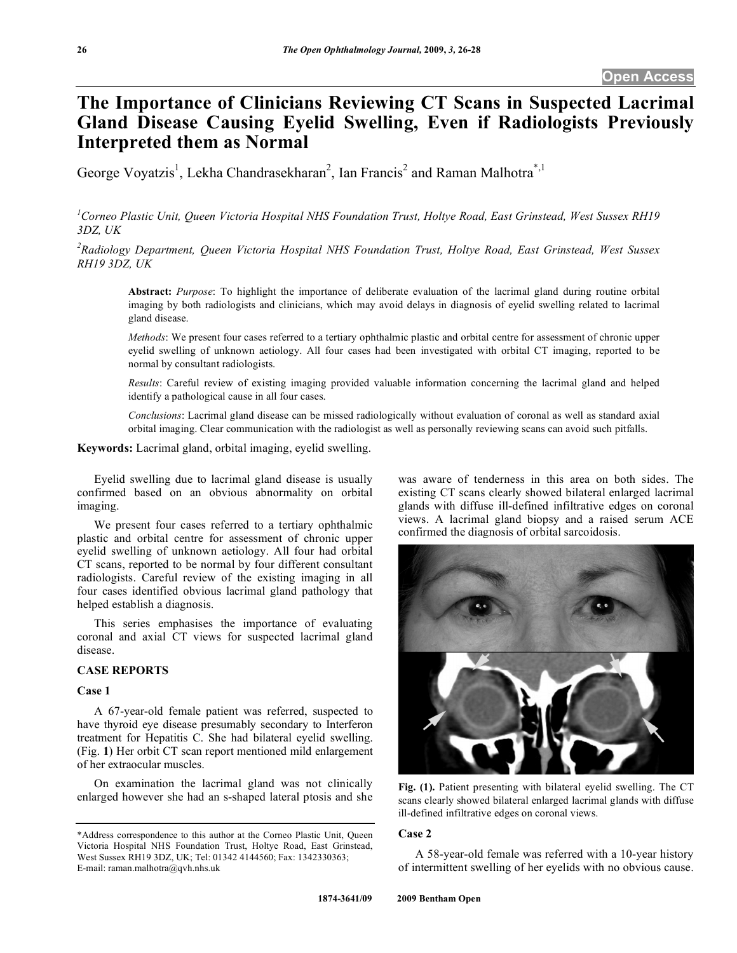# **The Importance of Clinicians Reviewing CT Scans in Suspected Lacrimal Gland Disease Causing Eyelid Swelling, Even if Radiologists Previously Interpreted them as Normal**

George Voyatzis<sup>1</sup>, Lekha Chandrasekharan<sup>2</sup>, Ian Francis<sup>2</sup> and Raman Malhotra<sup>\*,1</sup>

*1 Corneo Plastic Unit, Queen Victoria Hospital NHS Foundation Trust, Holtye Road, East Grinstead, West Sussex RH19 3DZ, UK* 

*2 Radiology Department, Queen Victoria Hospital NHS Foundation Trust, Holtye Road, East Grinstead, West Sussex RH19 3DZ, UK* 

**Abstract:** *Purpose*: To highlight the importance of deliberate evaluation of the lacrimal gland during routine orbital imaging by both radiologists and clinicians, which may avoid delays in diagnosis of eyelid swelling related to lacrimal gland disease.

*Methods*: We present four cases referred to a tertiary ophthalmic plastic and orbital centre for assessment of chronic upper eyelid swelling of unknown aetiology. All four cases had been investigated with orbital CT imaging, reported to be normal by consultant radiologists.

*Results*: Careful review of existing imaging provided valuable information concerning the lacrimal gland and helped identify a pathological cause in all four cases.

*Conclusions*: Lacrimal gland disease can be missed radiologically without evaluation of coronal as well as standard axial orbital imaging. Clear communication with the radiologist as well as personally reviewing scans can avoid such pitfalls.

**Keywords:** Lacrimal gland, orbital imaging, eyelid swelling.

 Eyelid swelling due to lacrimal gland disease is usually confirmed based on an obvious abnormality on orbital imaging.

 We present four cases referred to a tertiary ophthalmic plastic and orbital centre for assessment of chronic upper eyelid swelling of unknown aetiology. All four had orbital CT scans, reported to be normal by four different consultant radiologists. Careful review of the existing imaging in all four cases identified obvious lacrimal gland pathology that helped establish a diagnosis.

 This series emphasises the importance of evaluating coronal and axial CT views for suspected lacrimal gland disease.

#### **CASE REPORTS**

#### **Case 1**

 A 67-year-old female patient was referred, suspected to have thyroid eye disease presumably secondary to Interferon treatment for Hepatitis C. She had bilateral eyelid swelling. (Fig. **1**) Her orbit CT scan report mentioned mild enlargement of her extraocular muscles.

 On examination the lacrimal gland was not clinically enlarged however she had an s-shaped lateral ptosis and she

was aware of tenderness in this area on both sides. The existing CT scans clearly showed bilateral enlarged lacrimal glands with diffuse ill-defined infiltrative edges on coronal views. A lacrimal gland biopsy and a raised serum ACE confirmed the diagnosis of orbital sarcoidosis.



**Fig. (1).** Patient presenting with bilateral eyelid swelling. The CT scans clearly showed bilateral enlarged lacrimal glands with diffuse ill-defined infiltrative edges on coronal views.

## **Case 2**

 A 58-year-old female was referred with a 10-year history of intermittent swelling of her eyelids with no obvious cause.

<sup>\*</sup>Address correspondence to this author at the Corneo Plastic Unit, Queen Victoria Hospital NHS Foundation Trust, Holtye Road, East Grinstead, West Sussex RH19 3DZ, UK; Tel: 01342 4144560; Fax: 1342330363; E-mail: raman.malhotra@qvh.nhs.uk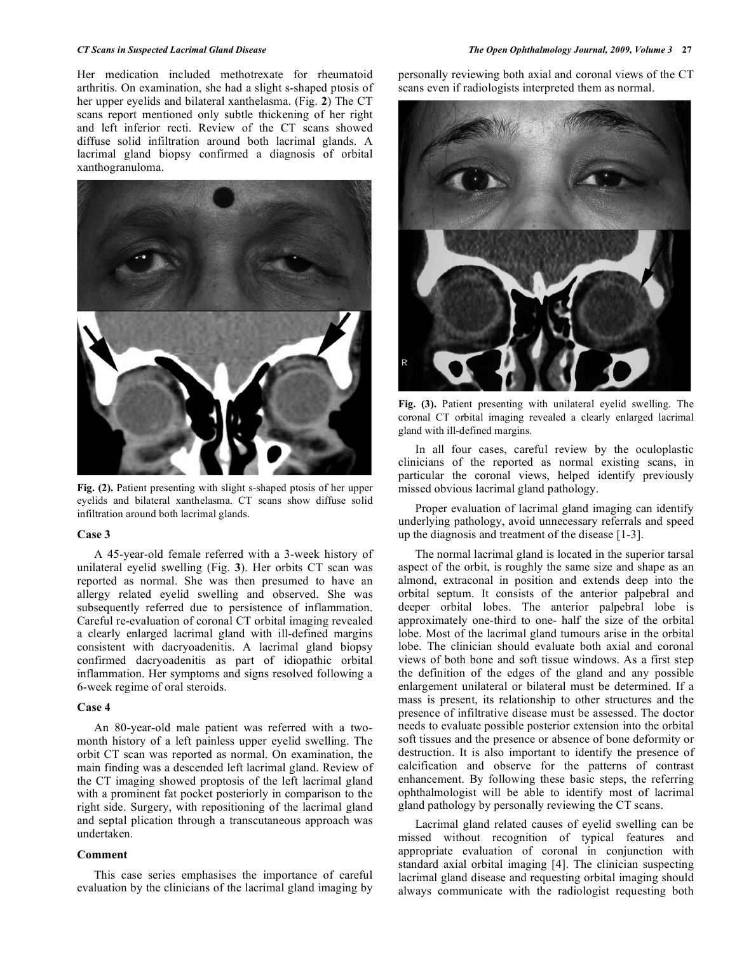Her medication included methotrexate for rheumatoid arthritis. On examination, she had a slight s-shaped ptosis of her upper eyelids and bilateral xanthelasma. (Fig. **2**) The CT scans report mentioned only subtle thickening of her right and left inferior recti. Review of the CT scans showed diffuse solid infiltration around both lacrimal glands. A lacrimal gland biopsy confirmed a diagnosis of orbital xanthogranuloma.



**Fig. (2).** Patient presenting with slight s-shaped ptosis of her upper eyelids and bilateral xanthelasma. CT scans show diffuse solid infiltration around both lacrimal glands.

## **Case 3**

 A 45-year-old female referred with a 3-week history of unilateral eyelid swelling (Fig. **3**). Her orbits CT scan was reported as normal. She was then presumed to have an allergy related eyelid swelling and observed. She was subsequently referred due to persistence of inflammation. Careful re-evaluation of coronal CT orbital imaging revealed a clearly enlarged lacrimal gland with ill-defined margins consistent with dacryoadenitis. A lacrimal gland biopsy confirmed dacryoadenitis as part of idiopathic orbital inflammation. Her symptoms and signs resolved following a 6-week regime of oral steroids.

#### **Case 4**

 An 80-year-old male patient was referred with a twomonth history of a left painless upper eyelid swelling. The orbit CT scan was reported as normal. On examination, the main finding was a descended left lacrimal gland. Review of the CT imaging showed proptosis of the left lacrimal gland with a prominent fat pocket posteriorly in comparison to the right side. Surgery, with repositioning of the lacrimal gland and septal plication through a transcutaneous approach was undertaken.

#### **Comment**

 This case series emphasises the importance of careful evaluation by the clinicians of the lacrimal gland imaging by personally reviewing both axial and coronal views of the CT scans even if radiologists interpreted them as normal.



**Fig. (3).** Patient presenting with unilateral eyelid swelling. The coronal CT orbital imaging revealed a clearly enlarged lacrimal gland with ill-defined margins.

 In all four cases, careful review by the oculoplastic clinicians of the reported as normal existing scans, in particular the coronal views, helped identify previously missed obvious lacrimal gland pathology.

 Proper evaluation of lacrimal gland imaging can identify underlying pathology, avoid unnecessary referrals and speed up the diagnosis and treatment of the disease [1-3].

 The normal lacrimal gland is located in the superior tarsal aspect of the orbit, is roughly the same size and shape as an almond, extraconal in position and extends deep into the orbital septum. It consists of the anterior palpebral and deeper orbital lobes. The anterior palpebral lobe is approximately one-third to one- half the size of the orbital lobe. Most of the lacrimal gland tumours arise in the orbital lobe. The clinician should evaluate both axial and coronal views of both bone and soft tissue windows. As a first step the definition of the edges of the gland and any possible enlargement unilateral or bilateral must be determined. If a mass is present, its relationship to other structures and the presence of infiltrative disease must be assessed. The doctor needs to evaluate possible posterior extension into the orbital soft tissues and the presence or absence of bone deformity or destruction. It is also important to identify the presence of calcification and observe for the patterns of contrast enhancement. By following these basic steps, the referring ophthalmologist will be able to identify most of lacrimal gland pathology by personally reviewing the CT scans.

 Lacrimal gland related causes of eyelid swelling can be missed without recognition of typical features and appropriate evaluation of coronal in conjunction with standard axial orbital imaging [4]. The clinician suspecting lacrimal gland disease and requesting orbital imaging should always communicate with the radiologist requesting both